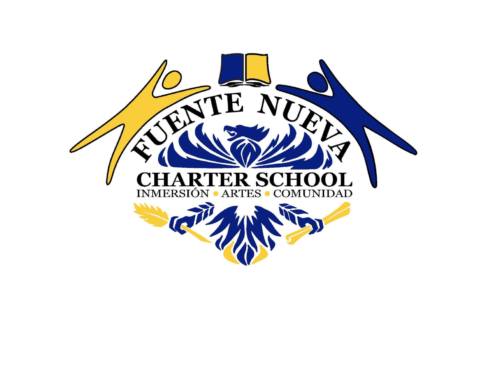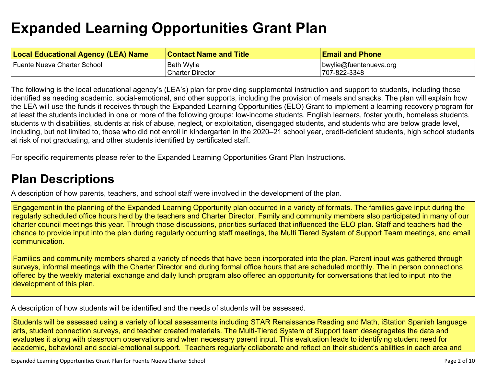# **Expanded Learning [Opportunities](#page-6-0) Grant Plan**

| <b>Local Educational Agency (LEA) Name</b> | <b>Contact Name and Title</b> | <b>Email and Phone</b> |
|--------------------------------------------|-------------------------------|------------------------|
| Fuente Nueva Charter School                | <b>Beth Wylie</b>             | bwylie@fuentenueva.org |
|                                            | <b>Charter Director</b>       | 707-822-3348           |

The following is the local educational agency's (LEA's) plan for providing supplemental instruction and support to students, including those identified as needing academic, social-emotional, and other supports, including the provision of meals and snacks. The plan will explain how the LEA will use the funds it receives through the Expanded Learning Opportunities (ELO) Grant to implement a learning recovery program for at least the students included in one or more of the following groups: low-income students, English learners, foster youth, homeless students, students with disabilities, students at risk of abuse, neglect, or exploitation, disengaged students, and students who are below grade level, including, but not limited to, those who did not enroll in kindergarten in the 2020–21 school year, credit-deficient students, high school students at risk of not graduating, and other students identified by certificated staff.

For specific requirements please refer to the Expanded Learning Opportunities Grant Plan Instructions.

### **Plan [Descriptions](#page-8-0)**

A description of how parents, teachers, and school staff were involved in the [development](#page-8-1) of the plan.

Engagement in the planning of the Expanded Learning Opportunity plan occurred in a variety of formats. The families gave input during the regularly scheduled office hours held by the teachers and Charter Director. Family and community members also participated in many of our charter council meetings this year. Through those discussions, priorities surfaced that influenced the ELO plan. Staff and teachers had the chance to provide input into the plan during regularly occurring staff meetings, the Multi Tiered System of Support Team meetings, and email communication.

Families and community members shared a variety of needs that have been incorporated into the plan. Parent input was gathered through surveys, informal meetings with the Charter Director and during formal office hours that are scheduled monthly. The in person connections offered by the weekly material exchange and daily lunch program also offered an opportunity for conversations that led to input into the development of this plan.

A [description](#page-8-2) of how students will be identified and the needs of students will be assessed[.](#page-8-2)

Students will be assessed using a variety of local assessments including STAR Renaissance Reading and Math, iStation Spanish language arts, student connection surveys, and teacher created materials. The Multi-Tiered System of Support team desegregates the data and evaluates it along with classroom observations and when necessary parent input. This evaluation leads to identifying student need for academic, behavioral and social-emotional support. Teachers regularly collaborate and reflect on their student's abilities in each area and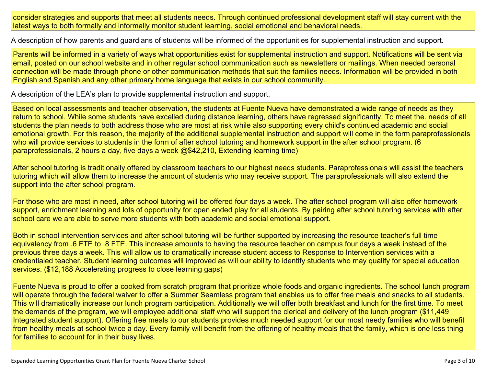consider strategies and supports that meet all students needs. Through continued professional development staff will stay current with the latest ways to both formally and informally monitor student learning, social emotional and behavioral needs.

A description of how parents and guardians of students will be informed of the opportunities for [supplemental](#page-8-3) instruction and support[.](#page-8-3)

Parents will be informed in a variety of ways what opportunities exist for supplemental instruction and support. Notifications will be sent via email, posted on our school website and in other regular school communication such as newsletters or mailings. When needed personal connection will be made through phone or other communication methods that suit the families needs. Information will be provided in both English and Spanish and any other primary home language that exists in our school community.

A description of the LEA's plan to provide [supplemental](#page-8-4) instruction and support[.](#page-8-4)

Based on local assessments and teacher observation, the students at Fuente Nueva have demonstrated a wide range of needs as they return to school. While some students have excelled during distance learning, others have regressed significantly. To meet the. needs of all students the plan needs to both address those who are most at risk while also supporting every child's continued academic and social emotional growth. For this reason, the majority of the additional supplemental instruction and support will come in the form paraprofessionals who will provide services to students in the form of after school tutoring and homework support in the after school program. (6 paraprofessionals, 2 hours a day, five days a week @\$42,210, Extending learning time)

After school tutoring is traditionally offered by classroom teachers to our highest needs students. Paraprofessionals will assist the teachers tutoring which will allow them to increase the amount of students who may receive support. The paraprofessionals will also extend the support into the after school program.

For those who are most in need, after school tutoring will be offered four days a week. The after school program will also offer homework support, enrichment learning and lots of opportunity for open ended play for all students. By pairing after school tutoring services with after school care we are able to serve more students with both academic and social emotional support.

Both in school intervention services and after school tutoring will be further supported by increasing the resource teacher's full time equivalency from .6 FTE to .8 FTE. This increase amounts to having the resource teacher on campus four days a week instead of the previous three days a week. This will allow us to dramatically increase student access to Response to Intervention services with a credentialed teacher. Student learning outcomes will improved as will our ability to identify students who may qualify for special education services. (\$12,188 Accelerating progress to close learning gaps)

Fuente Nueva is proud to offer a cooked from scratch program that prioritize whole foods and organic ingredients. The school lunch program will operate through the federal waiver to offer a Summer Seamless program that enables us to offer free meals and snacks to all students. This will dramatically increase our lunch program participation. Additionally we will offer both breakfast and lunch for the first time. To meet the demands of the program, we will employee additional staff who will support the clerical and delivery of the lunch program (\$11,449 Integrated student support). Offering free meals to our students provides much needed support for our most needy families who will benefit from healthy meals at school twice a day. Every family will benefit from the offering of healthy meals that the family, which is one less thing for families to account for in their busy lives.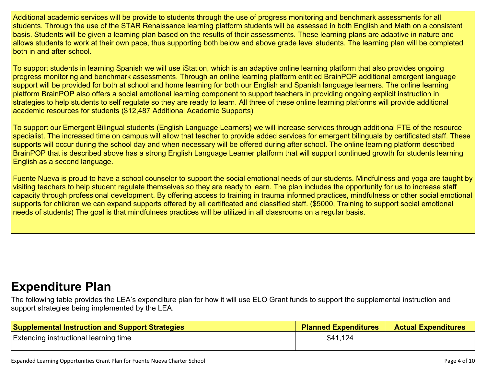Additional academic services will be provide to students through the use of progress monitoring and benchmark assessments for all students. Through the use of the STAR Renaissance learning platform students will be assessed in both English and Math on a consistent basis. Students will be given a learning plan based on the results of their assessments. These learning plans are adaptive in nature and allows students to work at their own pace, thus supporting both below and above grade level students. The learning plan will be completed both in and after school.

To support students in learning Spanish we will use iStation, which is an adaptive online learning platform that also provides ongoing progress monitoring and benchmark assessments. Through an online learning platform entitled BrainPOP additional emergent language support will be provided for both at school and home learning for both our English and Spanish language learners. The online learning platform BrainPOP also offers a social emotional learning component to support teachers in providing ongoing explicit instruction in strategies to help students to self regulate so they are ready to learn. All three of these online learning platforms will provide additional academic resources for students (\$12,487 Additional Academic Supports)

To support our Emergent Bilingual students (English Language Learners) we will increase services through additional FTE of the resource specialist. The increased time on campus will allow that teacher to provide added services for emergent bilinguals by certificated staff. These supports will occur during the school day and when necessary will be offered during after school. The online learning platform described BrainPOP that is described above has a strong English Language Learner platform that will support continued growth for students learning English as a second language.

Fuente Nueva is proud to have a school counselor to support the social emotional needs of our students. Mindfulness and yoga are taught by visiting teachers to help student regulate themselves so they are ready to learn. The plan includes the opportunity for us to increase staff capacity through professional development. By offering access to training in trauma informed practices, mindfulness or other social emotional supports for children we can expand supports offered by all certificated and classified staff. (\$5000, Training to support social emotional needs of students) The goal is that mindfulness practices will be utilized in all classrooms on a regular basis.

### **[Expenditure](#page-9-0) Pla[n](#page-9-0)**

The following table provides the LEA's expenditure plan for how it will use ELO Grant funds to support the supplemental instruction and support strategies being implemented by the LEA.

| <b>Supplemental Instruction and Support Strategies</b> | <b>Planned Expenditures</b> | <b>Actual Expenditures</b> |
|--------------------------------------------------------|-----------------------------|----------------------------|
| <b>Extending instructional learning time</b>           | \$41,124                    |                            |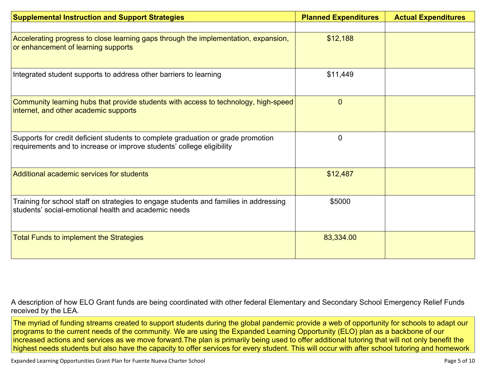| <b>Supplemental Instruction and Support Strategies</b>                                                                                                    | <b>Planned Expenditures</b> | <b>Actual Expenditures</b> |
|-----------------------------------------------------------------------------------------------------------------------------------------------------------|-----------------------------|----------------------------|
|                                                                                                                                                           |                             |                            |
| Accelerating progress to close learning gaps through the implementation, expansion,<br>or enhancement of learning supports                                | \$12,188                    |                            |
| Integrated student supports to address other barriers to learning                                                                                         | \$11,449                    |                            |
| Community learning hubs that provide students with access to technology, high-speed<br>internet, and other academic supports                              | $\mathbf 0$                 |                            |
| Supports for credit deficient students to complete graduation or grade promotion<br>requirements and to increase or improve students' college eligibility | $\Omega$                    |                            |
| Additional academic services for students                                                                                                                 | \$12,487                    |                            |
| Training for school staff on strategies to engage students and families in addressing<br>students' social-emotional health and academic needs             | \$5000                      |                            |
| <b>Total Funds to implement the Strategies</b>                                                                                                            | 83,334.00                   |                            |

A description of how ELO Grant funds are being [coordinated](#page-9-1) with other federal Elementary and Secondary School Emergency Relief Funds [received](#page-9-1) by the LEA.

The myriad of funding streams created to support students during the global pandemic provide a web of opportunity for schools to adapt our programs to the current needs of the community. We are using the Expanded Learning Opportunity (ELO) plan as a backbone of our increased actions and services as we move forward.The plan is primarily being used to offer additional tutoring that will not only benefit the highest needs students but also have the capacity to offer services for every student. This will occur with after school tutoring and homework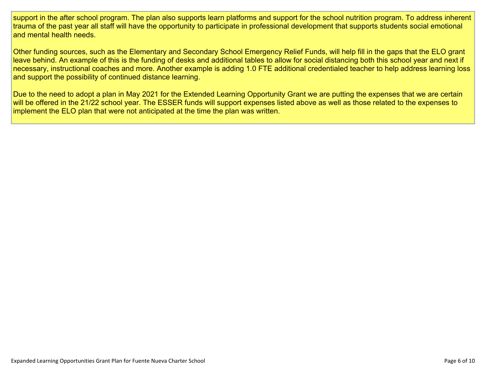support in the after school program. The plan also supports learn platforms and support for the school nutrition program. To address inherent trauma of the past year all staff will have the opportunity to participate in professional development that supports students social emotional and mental health needs.

Other funding sources, such as the Elementary and Secondary School Emergency Relief Funds, will help fill in the gaps that the ELO grant leave behind. An example of this is the funding of desks and additional tables to allow for social distancing both this school year and next if necessary, instructional coaches and more. Another example is adding 1.0 FTE additional credentialed teacher to help address learning loss and support the possibility of continued distance learning.

Due to the need to adopt a plan in May 2021 for the Extended Learning Opportunity Grant we are putting the expenses that we are certain will be offered in the 21/22 school year. The ESSER funds will support expenses listed above as well as those related to the expenses to implement the ELO plan that were not anticipated at the time the plan was written.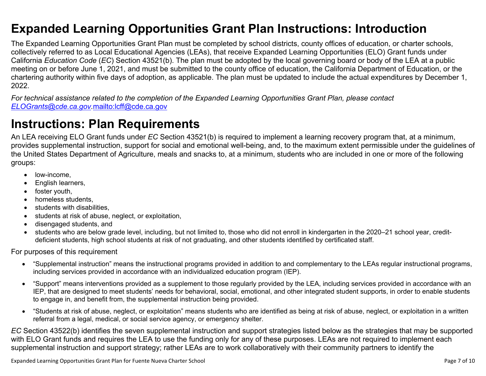### <span id="page-6-0"></span>**Expanded Learning Opportunities Grant Plan Instructions: Introduction**

The Expanded Learning Opportunities Grant Plan must be completed by school districts, county offices of education, or charter schools, collectively referred to as Local Educational Agencies (LEAs), that receive Expanded Learning Opportunities (ELO) Grant funds under California *Education Code* (*EC*) Section 43521(b). The plan must be adopted by the local governing board or body of the LEA at a public meeting on or before June 1, 2021, and must be submitted to the county office of education, the California Department of Education, or the chartering authority within five days of adoption, as applicable. The plan must be updated to include the actual expenditures by December 1, 2022.

For technical assistance related to the completion of the Expanded Learning Opportunities Grant Plan, please contact *[ELOGrants@cde.ca.gov](mailto:ELOGrants@cde.ca.gov).*<mailto:lcff@cde.ca.gov>

### **Instructions: Plan Requirements**

An LEA receiving ELO Grant funds under *EC* Section 43521(b) is required to implement a learning recovery program that, at a minimum, provides supplemental instruction, support for social and emotional well-being, and, to the maximum extent permissible under the guidelines of the United States Department of Agriculture, meals and snacks to, at a minimum, students who are included in one or more of the following groups:

- low-income.
- English learners,
- foster youth,
- homeless students,
- students with disabilities.
- students at risk of abuse, neglect, or exploitation,
- disengaged students, and
- students who are below grade level, including, but not limited to, those who did not enroll in kindergarten in the 2020–21 school year, creditdeficient students, high school students at risk of not graduating, and other students identified by certificated staff.

For purposes of this requirement

- "Supplemental instruction" means the instructional programs provided in addition to and complementary to the LEAs regular instructional programs, including services provided in accordance with an individualized education program (IEP).
- "Support" means interventions provided as a supplement to those regularly provided by the LEA, including services provided in accordance with an IEP, that are designed to meet students' needs for behavioral, social, emotional, and other integrated student supports, in order to enable students to engage in, and benefit from, the supplemental instruction being provided.
- "Students at risk of abuse, neglect, or exploitation" means students who are identified as being at risk of abuse, neglect, or exploitation in a written referral from a legal, medical, or social service agency, or emergency shelter.

*EC* Section 43522(b) identifies the seven supplemental instruction and support strategies listed below as the strategies that may be supported with ELO Grant funds and requires the LEA to use the funding only for any of these purposes. LEAs are not required to implement each supplemental instruction and support strategy; rather LEAs are to work collaboratively with their community partners to identify the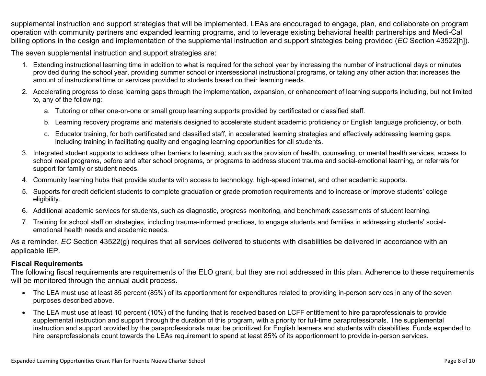supplemental instruction and support strategies that will be implemented. LEAs are encouraged to engage, plan, and collaborate on program operation with community partners and expanded learning programs, and to leverage existing behavioral health partnerships and Medi-Cal billing options in the design and implementation of the supplemental instruction and support strategies being provided (*EC* Section 43522[h]).

The seven supplemental instruction and support strategies are:

- 1. Extending instructional learning time in addition to what is required for the school year by increasing the number of instructional days or minutes provided during the school year, providing summer school or intersessional instructional programs, or taking any other action that increases the amount of instructional time or services provided to students based on their learning needs.
- 2. Accelerating progress to close learning gaps through the implementation, expansion, or enhancement of learning supports including, but not limited to, any of the following:
	- a. Tutoring or other one-on-one or small group learning supports provided by certificated or classified staff.
	- b. Learning recovery programs and materials designed to accelerate student academic proficiency or English language proficiency, or both.
	- c. Educator training, for both certificated and classified staff, in accelerated learning strategies and effectively addressing learning gaps, including training in facilitating quality and engaging learning opportunities for all students.
- 3. Integrated student supports to address other barriers to learning, such as the provision of health, counseling, or mental health services, access to school meal programs, before and after school programs, or programs to address student trauma and social-emotional learning, or referrals for support for family or student needs.
- 4. Community learning hubs that provide students with access to technology, high-speed internet, and other academic supports.
- 5. Supports for credit deficient students to complete graduation or grade promotion requirements and to increase or improve students' college eligibility.
- 6. Additional academic services for students, such as diagnostic, progress monitoring, and benchmark assessments of student learning.
- 7. Training for school staff on strategies, including trauma-informed practices, to engage students and families in addressing students' socialemotional health needs and academic needs.

As a reminder, *EC* Section 43522(g) requires that all services delivered to students with disabilities be delivered in accordance with an applicable IEP.

#### **Fiscal Requirements**

The following fiscal requirements are requirements of the ELO grant, but they are not addressed in this plan. Adherence to these requirements will be monitored through the annual audit process.

- The LEA must use at least 85 percent (85%) of its apportionment for expenditures related to providing in-person services in any of the seven purposes described above.
- The LEA must use at least 10 percent (10%) of the funding that is received based on LCFF entitlement to hire paraprofessionals to provide supplemental instruction and support through the duration of this program, with a priority for full-time paraprofessionals. The supplemental instruction and support provided by the paraprofessionals must be prioritized for English learners and students with disabilities. Funds expended to hire paraprofessionals count towards the LEAs requirement to spend at least 85% of its apportionment to provide in-person services.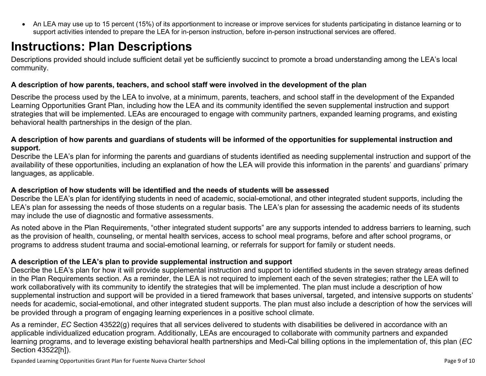<span id="page-8-0"></span> An LEA may use up to 15 percent (15%) of its apportionment to increase or improve services for students participating in distance learning or to support activities intended to prepare the LEA for in-person instruction, before in-person instructional services are offered.

## **Instructions: Plan Descriptions**

Descriptions provided should include sufficient detail yet be sufficiently succinct to promote a broad understanding among the LEA's local community.

#### <span id="page-8-1"></span>**A description of how parents, teachers, and school staff were involved in the development of the plan**

Describe the process used by the LEA to involve, at a minimum, parents, teachers, and school staff in the development of the Expanded Learning Opportunities Grant Plan, including how the LEA and its community identified the seven supplemental instruction and support strategies that will be implemented. LEAs are encouraged to engage with community partners, expanded learning programs, and existing behavioral health partnerships in the design of the plan.

#### <span id="page-8-2"></span>A description of how parents and guardians of students will be informed of the opportunities for supplemental instruction and **support.**

Describe the LEA's plan for informing the parents and guardians of students identified as needing supplemental instruction and support of the availability of these opportunities, including an explanation of how the LEA will provide this information in the parents' and guardians' primary languages, as applicable.

#### <span id="page-8-3"></span>**A description of how students will be identified and the needs of students will be assessed**

Describe the LEA's plan for identifying students in need of academic, social-emotional, and other integrated student supports, including the LEA's plan for assessing the needs of those students on a regular basis. The LEA's plan for assessing the academic needs of its students may include the use of diagnostic and formative assessments.

As noted above in the Plan Requirements, "other integrated student supports" are any supports intended to address barriers to learning, such as the provision of health, counseling, or mental health services, access to school meal programs, before and after school programs, or programs to address student trauma and social-emotional learning, or referrals for support for family or student needs.

#### <span id="page-8-4"></span>**A description of the LEA's plan to provide supplemental instruction and support**

Describe the LEA's plan for how it will provide supplemental instruction and support to identified students in the seven strategy areas defined in the Plan Requirements section. As a reminder, the LEA is not required to implement each of the seven strategies; rather the LEA will to work collaboratively with its community to identify the strategies that will be implemented. The plan must include a description of how supplemental instruction and support will be provided in a tiered framework that bases universal, targeted, and intensive supports on students' needs for academic, social-emotional, and other integrated student supports. The plan must also include a description of how the services will be provided through a program of engaging learning experiences in a positive school climate.

As a reminder, *EC* Section 43522(g) requires that all services delivered to students with disabilities be delivered in accordance with an applicable individualized education program. Additionally, LEAs are encouraged to collaborate with community partners and expanded learning programs, and to leverage existing behavioral health partnerships and Medi-Cal billing options in the implementation of, this plan (*EC* Section 43522[h]).